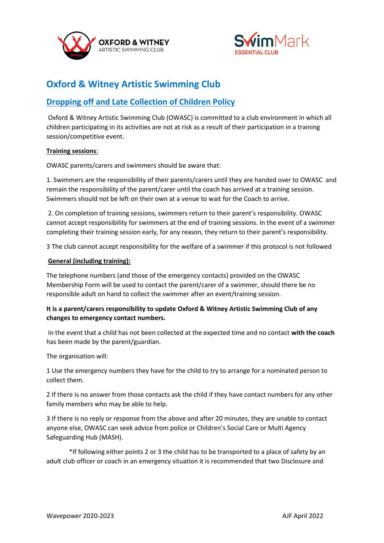



# **Oxford & Witney Artistic Swimming Club**

# **Dropping off and Late Collection of Children Policy**

Oxford & Witney Artistic Swimming Club (OWASC) is committed to a club environment in which all children participating in its activities are not at risk as a result of their participation in a training session/competitive event.

### **Training sessions**:

OWASC parents/carers and swimmers should be aware that:

1. Swimmers are the responsibility of their parents/carers until they are handed over to OWASC and remain the responsibility of the parent/carer until the coach has arrived at a training session. Swimmers should not be left on their own at a venue to wait for the Coach to arrive.

2. On completion of training sessions, swimmers return to their parent's responsibility. OWASC cannot accept responsibility for swimmers at the end of training sessions. In the event of a swimmer completing their training session early, for any reason, they return to their parent's responsibility.

3 The club cannot accept responsibility for the welfare of a swimmer if this protocol is not followed

### **General (including training):**

The telephone numbers (and those of the emergency contacts) provided on the OWASC Membership Form will be used to contact the parent/carer of a swimmer, should there be no responsible adult on hand to collect the swimmer after an event/training session.

## **It is a parent/carers responsibility to update Oxford & Witney Artistic Swimming Club of any changes to emergency contact numbers.**

In the event that a child has not been collected at the expected time and no contact **with the coach** has been made by the parent/guardian.

The organisation will:

1 Use the emergency numbers they have for the child to try to arrange for a nominated person to collect them.

2 If there is no answer from those contacts ask the child if they have contact numbers for any other family members who may be able to help.

3 If there is no reply or response from the above and after 20 minutes, they are unable to contact anyone else, OWASC can seek advice from police or Children's Social Care or Multi Agency Safeguarding Hub (MASH).

 \*If following either points 2 or 3 the child has to be transported to a place of safety by an adult club officer or coach in an emergency situation it is recommended that two Disclosure and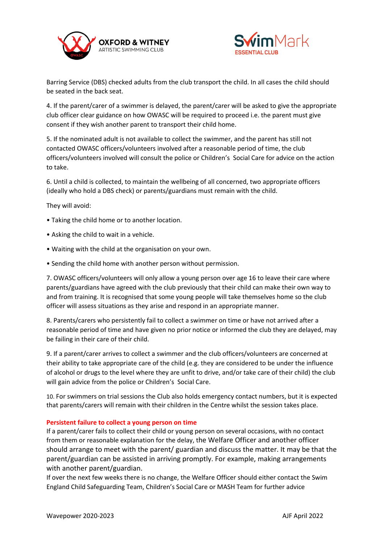



Barring Service (DBS) checked adults from the club transport the child. In all cases the child should be seated in the back seat.

4. If the parent/carer of a swimmer is delayed, the parent/carer will be asked to give the appropriate club officer clear guidance on how OWASC will be required to proceed i.e. the parent must give consent if they wish another parent to transport their child home.

5. If the nominated adult is not available to collect the swimmer, and the parent has still not contacted OWASC officers/volunteers involved after a reasonable period of time, the club officers/volunteers involved will consult the police or Children's Social Care for advice on the action to take.

6. Until a child is collected, to maintain the wellbeing of all concerned, two appropriate officers (ideally who hold a DBS check) or parents/guardians must remain with the child.

They will avoid:

- Taking the child home or to another location.
- Asking the child to wait in a vehicle.
- Waiting with the child at the organisation on your own.
- Sending the child home with another person without permission.

7. OWASC officers/volunteers will only allow a young person over age 16 to leave their care where parents/guardians have agreed with the club previously that their child can make their own way to and from training. It is recognised that some young people will take themselves home so the club officer will assess situations as they arise and respond in an appropriate manner.

8. Parents/carers who persistently fail to collect a swimmer on time or have not arrived after a reasonable period of time and have given no prior notice or informed the club they are delayed, may be failing in their care of their child.

9. If a parent/carer arrives to collect a swimmer and the club officers/volunteers are concerned at their ability to take appropriate care of the child (e.g. they are considered to be under the influence of alcohol or drugs to the level where they are unfit to drive, and/or take care of their child) the club will gain advice from the police or Children's Social Care.

10. For swimmers on trial sessions the Club also holds emergency contact numbers, but it is expected that parents/carers will remain with their children in the Centre whilst the session takes place.

#### **Persistent failure to collect a young person on time**

If a parent/carer fails to collect their child or young person on several occasions, with no contact from them or reasonable explanation for the delay, the Welfare Officer and another officer should arrange to meet with the parent/ guardian and discuss the matter. It may be that the parent/guardian can be assisted in arriving promptly. For example, making arrangements with another parent/guardian.

If over the next few weeks there is no change, the Welfare Officer should either contact the Swim England Child Safeguarding Team, Children's Social Care or MASH Team for further advice